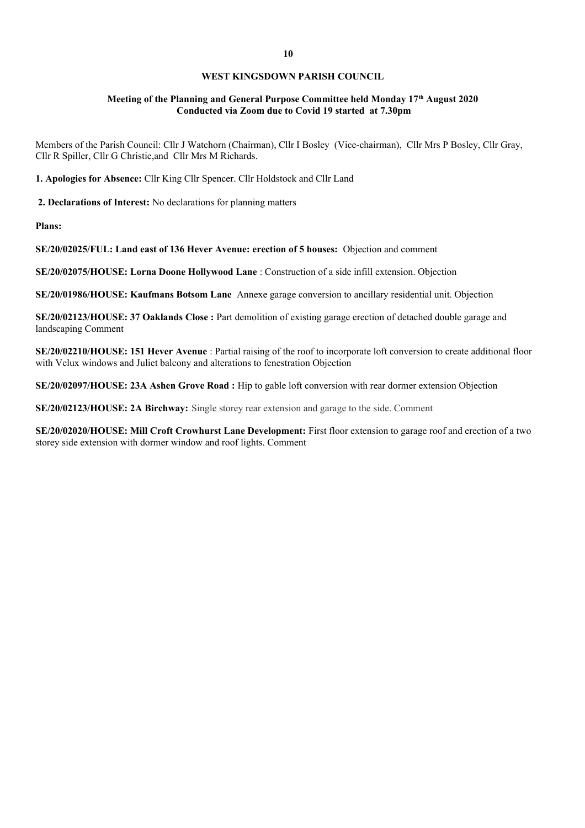## **WEST KINGSDOWN PARISH COUNCIL**

## **Meeting of the Planning and General Purpose Committee held Monday 17th August 2020 Conducted via Zoom due to Covid 19 started at 7.30pm**

Members of the Parish Council: Cllr J Watchorn (Chairman), Cllr I Bosley (Vice-chairman), Cllr Mrs P Bosley, Cllr Gray, Cllr R Spiller, Cllr G Christie,and Cllr Mrs M Richards.

**1. Apologies for Absence:** Cllr King Cllr Spencer. Cllr Holdstock and Cllr Land

 **2. Declarations of Interest:** No declarations for planning matters

**Plans:** 

**SE/20/02025/FUL: Land east of 136 Hever Avenue: erection of 5 houses:** Objection and comment

**SE/20/02075/HOUSE: Lorna Doone Hollywood Lane** : Construction of a side infill extension. Objection

**SE/20/01986/HOUSE: Kaufmans Botsom Lane** Annexe garage conversion to ancillary residential unit. Objection

**SE/20/02123/HOUSE: 37 Oaklands Close :** Part demolition of existing garage erection of detached double garage and landscaping Comment

**SE/20/02210/HOUSE: 151 Hever Avenue** : Partial raising of the roof to incorporate loft conversion to create additional floor with Velux windows and Juliet balcony and alterations to fenestration Objection

**SE/20/02097/HOUSE: 23A Ashen Grove Road :** Hip to gable loft conversion with rear dormer extension Objection

**SE/20/02123/HOUSE: 2A Birchway:** Single storey rear extension and garage to the side. Comment

**SE/20/02020/HOUSE: Mill Croft Crowhurst Lane Development:** First floor extension to garage roof and erection of a two storey side extension with dormer window and roof lights. Comment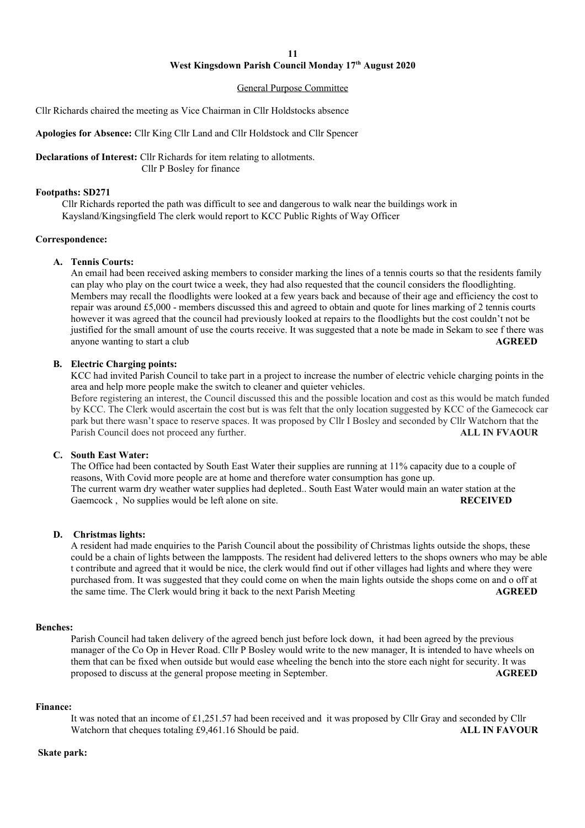# **West Kingsdown Parish Council Monday 17th August 2020**

#### General Purpose Committee

Cllr Richards chaired the meeting as Vice Chairman in Cllr Holdstocks absence

**Apologies for Absence:** Cllr King Cllr Land and Cllr Holdstock and Cllr Spencer

**Declarations of Interest:** Cllr Richards for item relating to allotments. Cllr P Bosley for finance

### **Footpaths: SD271**

Cllr Richards reported the path was difficult to see and dangerous to walk near the buildings work in Kaysland/Kingsingfield The clerk would report to KCC Public Rights of Way Officer

### **Correspondence:**

### **A. Tennis Courts:**

An email had been received asking members to consider marking the lines of a tennis courts so that the residents family can play who play on the court twice a week, they had also requested that the council considers the floodlighting. Members may recall the floodlights were looked at a few years back and because of their age and efficiency the cost to repair was around £5,000 - members discussed this and agreed to obtain and quote for lines marking of 2 tennis courts however it was agreed that the council had previously looked at repairs to the floodlights but the cost couldn't not be justified for the small amount of use the courts receive. It was suggested that a note be made in Sekam to see f there was anyone wanting to start a club **AGREED**

## **B. Electric Charging points:**

KCC had invited Parish Council to take part in a project to increase the number of electric vehicle charging points in the area and help more people make the switch to cleaner and quieter vehicles.

Before registering an interest, the Council discussed this and the possible location and cost as this would be match funded by KCC. The Clerk would ascertain the cost but is was felt that the only location suggested by KCC of the Gamecock car park but there wasn't space to reserve spaces. It was proposed by Cllr I Bosley and seconded by Cllr Watchorn that the Parish Council does not proceed any further. **ALL IN FVAOUR**

## **C. South East Water:**

The Office had been contacted by South East Water their supplies are running at 11% capacity due to a couple of reasons, With Covid more people are at home and therefore water consumption has gone up. The current warm dry weather water supplies had depleted.. South East Water would main an water station at the Gaemcock, No supplies would be left alone on site. **RECEIVED** 

## **D. Christmas lights:**

A resident had made enquiries to the Parish Council about the possibility of Christmas lights outside the shops, these could be a chain of lights between the lampposts. The resident had delivered letters to the shops owners who may be able t contribute and agreed that it would be nice, the clerk would find out if other villages had lights and where they were purchased from. It was suggested that they could come on when the main lights outside the shops come on and o off at the same time. The Clerk would bring it back to the next Parish Meeting **AGREED** 

### **Benches:**

Parish Council had taken delivery of the agreed bench just before lock down, it had been agreed by the previous manager of the Co Op in Hever Road. Cllr P Bosley would write to the new manager, It is intended to have wheels on them that can be fixed when outside but would ease wheeling the bench into the store each night for security. It was proposed to discuss at the general propose meeting in September. **AGREED** 

### **Finance:**

It was noted that an income of £1,251.57 had been received and it was proposed by Cllr Gray and seconded by Cllr<br>Watchorn that cheques totaling £9.461.16 Should be paid<br>ALL IN FAVOUR Watchorn that cheques totaling £9,461.16 Should be paid.

#### **Skate park:**